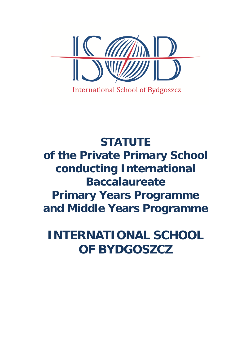

# **STATUTE of the Private Primary School conducting International Baccalaureate Primary Years Programme and Middle Years Programme**

**INTERNATIONAL SCHOOL OF BYDGOSZCZ**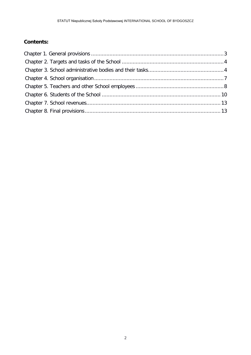# **Contents:**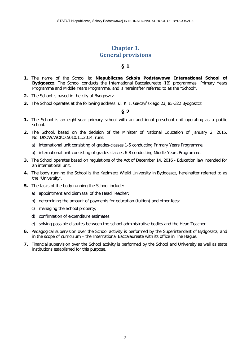# **Chapter 1. General provisions**

#### **§ 1**

- <span id="page-2-0"></span>**1.** The name of the School is: **Niepubliczna Szkoła Podstawowa International School of Bydgoszcz.** The School conducts the International Baccalaureate (IB) programmes: Primary Years Programme and Middle Years Programme, and is hereinafter referred to as the "School".
- **2.** The School is based in the city of Bydgoszcz.
- **3.** The School operates at the following address: ul. K. I. Gałczyńskiego 23, 85-322 Bydgoszcz.

- **1.** The School is an eight-year primary school with an additional preschool unit operating as a public school.
- **2.** The School, based on the decision of the Minister of National Education of January 2, 2015, No. DKOW.WOKO.5010.11.2014, runs:
	- a) international unit consisting of grades-classes 1-5 conducting Primary Years Programme;
	- b) international unit consisting of grades-classes 6-8 conducting Middle Years Programme.
- **3.** The School operates based on regulations of the Act of December 14, 2016 Education law intended for an international unit.
- **4.** The body running the School is the Kazimierz Wielki University in Bydgoszcz, hereinafter referred to as the "University".
- **5.** The tasks of the body running the School include:
	- a) appointment and dismissal of the Head Teacher;
	- b) determining the amount of payments for education (tuition) and other fees;
	- c) managing the School property;
	- d) confirmation of expenditure estimates;
	- e) solving possible disputes between the school administrative bodies and the Head Teacher.
- **6.** Pedagogical supervision over the School activity is performed by the Superintendent of Bydgoszcz, and in the scope of curriculum – the International Baccalaureate with its office in The Hague.
- **7.** Financial supervision over the School activity is performed by the School and University as well as state institutions established for this purpose.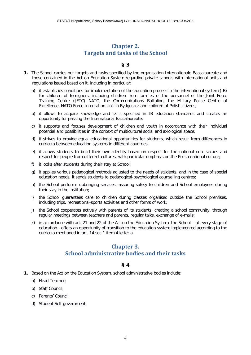## **Chapter 2. Targets and tasks of the School**

## **§ 3**

- <span id="page-3-0"></span>**1.** The School carries out targets and tasks specified by the organisation Internationale Baccalaureate and those contained in the Act on Education System regarding private schools with international units and regulations issued based on it, including in particular:
	- a) it establishes conditions for implementation of the education process in the international system (IB) for children of foreigners, including children from families of the personnel of the Joint Force Training Centre (JFTC) NATO, the Communications Battalion, the Military Police Centre of Excellence, NATO Force Integration Unit in Bydgoszcz and children of Polish citizens;
	- b) it allows to acquire knowledge and skills specified in IB education standards and creates an opportunity for passing the International Baccalaureate;
	- c) it supports and focuses development of children and youth in accordance with their individual potential and possibilities in the context of multicultural social and axiological space;
	- d) it strives to provide equal educational opportunities for students, which result from differences in curricula between education systems in different countries;
	- e) it allows students to build their own identity based on respect for the national core values and respect for people from different cultures, with particular emphasis on the Polish national culture;
	- f) it looks after students during their stay at School;
	- g) it applies various pedagogical methods adjusted to the needs of students, and in the case of special education needs, it sends students to pedagogical-psychological counselling centres;
	- h) the School performs upbringing services, assuring safety to children and School employees during their stay in the institution;
	- i) the School guarantees care to children during classes organised outside the School premises, including trips, recreational-sports activities and other forms of work;
	- j) the School cooperates actively with parents of its students, creating a school community, through regular meetings between teachers and parents, regular talks, exchange of e-mails;
	- k) in accordance with art. 21 and 22 of the Act on the Education System, the School at every stage of education - offers an opportunity of transition to the education system implemented according to the curricula mentioned in art. 14 sec.1 item 4 letter a.

## **Chapter 3. School administrative bodies and their tasks**

- <span id="page-3-1"></span>**1.** Based on the Act on the Education System, school administrative bodies include:
	- a) Head Teacher;
	- b) Staff Council;
	- c) Parents' Council;
	- d) Student Self-government.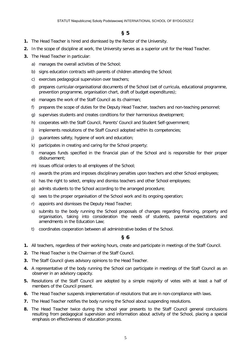## **§ 5**

- **1.** The Head Teacher is hired and dismissed by the Rector of the University.
- **2.** In the scope of discipline at work, the University serves as a superior unit for the Head Teacher.
- **3.** The Head Teacher in particular:
	- a) manages the overall activities of the School;
	- b) signs education contracts with parents of children attending the School;
	- c) exercises pedagogical supervision over teachers;
	- d) prepares curricular-organisational documents of the School (set of curricula, educational programme, prevention programme, organisation chart, draft of budget expenditures);
	- e) manages the work of the Staff Council as its chairman;
	- f) prepares the scope of duties for the Deputy Head Teacher, teachers and non-teaching personnel;
	- g) supervises students and creates conditions for their harmonious development;
	- h) cooperates with the Staff Council, Parents' Council and Student Self-government;
	- i) implements resolutions of the Staff Council adopted within its competencies;
	- j) guarantees safety, hygiene of work and education;
	- k) participates in creating and caring for the School property;
	- l) manages funds specified in the financial plan of the School and is responsible for their proper disbursement;
	- m) issues official orders to all employees of the School;
	- n) awards the prizes and imposes disciplinary penalties upon teachers and other School employees;
	- o) has the right to select, employ and dismiss teachers and other School employees;
	- p) admits students to the School according to the arranged procedure;
	- q) sees to the proper organisation of the School work and its ongoing operation;
	- r) appoints and dismisses the Deputy Head Teacher;
	- s) submits to the body running the School proposals of changes regarding financing, property and organisation, taking into consideration the needs of students, parental expectations and amendments in the Education Law;
	- t) coordinates cooperation between all administrative bodies of the School.

- **1.** All teachers, regardless of their working hours, create and participate in meetings of the Staff Council.
- **2.** The Head Teacher is the Chairman of the Staff Council.
- **3.** The Staff Council gives advisory opinions to the Head Teacher.
- **4.** A representative of the body running the School can participate in meetings of the Staff Council as an observer in an advisory capacity.
- **5.** Resolutions of the Staff Council are adopted by a simple majority of votes with at least a half of members of the Council present.
- **6.** The Head Teacher suspends implementation of resolutions that are in non-compliance with laws.
- **7.** The Head Teacher notifies the body running the School about suspending resolutions.
- **8.** The Head Teacher twice during the school year presents to the Staff Council general conclusions resulting from pedagogical supervision and information about activity of the School, placing a special emphasis on effectiveness of education process.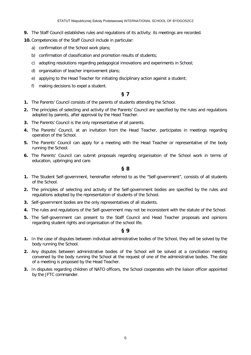**9.** The Staff Council establishes rules and regulations of its activity; its meetings are recorded.

**10.** Competencies of the Staff Council include in particular:

- a) confirmation of the School work plans;
- b) confirmation of classification and promotion results of students;
- c) adopting resolutions regarding pedagogical innovations and experiments in School;
- d) organisation of teacher improvement plans;
- e) applying to the Head Teacher for initiating disciplinary action against a student;
- f) making decisions to expel a student.

## **§ 7**

- **1.** The Parents' Council consists of the parents of students attending the School.
- **2.** The principles of selecting and activity of the Parents' Council are specified by the rules and regulations adopted by parents, after approval by the Head Teacher.
- **3.** The Parents' Council is the only representative of all parents.
- **4.** The Parents' Council, at an invitation from the Head Teacher, participates in meetings regarding operation of the School.
- **5.** The Parents' Council can apply for a meeting with the Head Teacher or representative of the body running the School.
- **6.** The Parents' Council can submit proposals regarding organisation of the School work in terms of education, upbringing and care.

#### **§ 8**

- **1.** The Student Self-government, hereinafter referred to as the "Self-government", consists of all students of the School.
- **2.** The principles of selecting and activity of the Self-government bodies are specified by the rules and regulations adopted by the representation of students of the School.
- **3.** Self-government bodies are the only representatives of all students.
- **4.** The rules and regulations of the Self-government may not be inconsistent with the statute of the School.
- **5.** The Self-government can present to the Staff Council and Head Teacher proposals and opinions regarding student rights and organisation of the school life.

- **1.** In the case of disputes between individual administrative bodies of the School, they will be solved by the body running the School.
- **2.** Any disputes between administrative bodies of the School will be solved at a conciliation meeting convened by the body running the School at the request of one of the administrative bodies. The date of a meeting is proposed by the Head Teacher.
- **3.** In disputes regarding children of NATO officers, the School cooperates with the liaison officer appointed by the JFTC commander.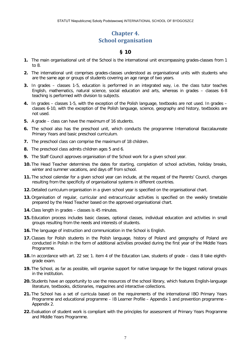# **Chapter 4. School organisation**

- <span id="page-6-0"></span>**1.** The main organisational unit of the School is the international unit encompassing grades-classes from 1 to 8.
- **2.** The international unit comprises grades-classes understood as organisational units with students who are the same age or groups of students covering an age range of two years.
- **3.** In grades classes 1-5, education is performed in an integrated way, i.e. the class tutor teaches English, mathematics, natural science, social education and arts, whereas in grades – classes 6-8 teaching is performed with division to subjects.
- **4.** In grades classes 1-5, with the exception of the Polish language, textbooks are not used. In grades classes 6-10, with the exception of the Polish language, science, geography and history, textbooks are not used.
- **5.** A grade class can have the maximum of 16 students.
- **6.** The school also has the preschool unit, which conducts the programme International Baccalaureate Primary Years and basic preschool curriculum.
- **7.** The preschool class can comprise the maximum of 18 children.
- **8.** The preschool class admits children ages 5 and 6.
- **9.** The Staff Council approves organisation of the School work for a given school year.
- **10.** The Head Teacher determines the dates for starting, completion of school activities, holiday breaks, winter and summer vacations, and days off from school.
- **11.** The school calendar for a given school year can include, at the request of the Parents' Council, changes resulting from the specificity of organisational systems in different countries.
- **12.** Detailed curriculum organisation in a given school year is specified on the organisational chart.
- **13.** Organisation of regular, curricular and extracurricular activities is specified on the weekly timetable prepared by the Head Teacher based on the approved organisational chart.
- **14.** Class length in grades classes is 45 minutes.
- **15.** Education process includes basic classes, optional classes, individual education and activities in small groups resulting from the needs and interests of students.
- **16.** The language of instruction and communication in the School is English.
- **17.** Classes for Polish students in the Polish language, history of Poland and geography of Poland are conducted in Polish in the form of additional activities provided during the first year of the Middle Years Programme.
- **18.** In accordance with art. 22 sec 1. item 4 of the Education Law, students of grade class 8 take eighthgrade exam.
- **19.** The School, as far as possible, will organise support for native language for the biggest national groups in the institution.
- **20.** Students have an opportunity to use the resources of the school library, which features English-language literature, textbooks, dictionaries, magazines and interactive collections.
- **21.** The School has a set of curricula based on the requirements of the international IBO Primary Years Programme and educational programme – IB Learner Profile – Appendix 1 and prevention programme – Appendix 2.
- **22.** Evaluation of student work is compliant with the principles for assessment of Primary Years Programme and Middle Years Programme.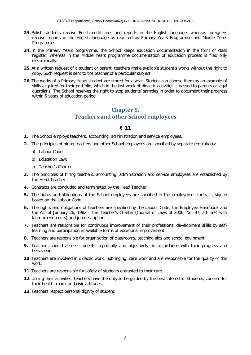- **23.** Polish students receive Polish certificates and reports in the English language, whereas foreigners receive reports in the English language as required by Primary Years Programme and Middle Years Programme.
- **24.** In the Primary Years programme, the School keeps education documentation in the form of class register, whereas in the Middle Years programme documentation of education process is filed only electronically.
- **25.** At a written request of a student or parent, teachers make available student's works without the right to copy. Such request is sent to the teacher of a particular subject.
- <span id="page-7-0"></span>**26.** The works of a Primary Years student are stored for a year. Student can choose them as an example of skills acquired for their portfolio, which in the last week of didactic activities is passed to parents or legal guardians. The School reserves the right to stop students' samples in order to document their progress within 5 years of education period.

# **Chapter 5. Teachers and other School employees**

- **1.** The School employs teachers, accounting, administration and service employees.
- **2.** The principles of hiring teachers and other School employees are specified by separate regulations:
	- a) Labour Code;
	- b) Education Law;
	- c) Teacher's Charter.
- **3.** The principles of hiring teachers, accounting, administration and service employees are established by the Head Teacher.
- **4.** Contracts are concluded and terminated by the Head Teacher.
- **5.** The rights and obligations of the School employees are specified in the employment contract, signed based on the Labour Code.
- **6.** The rights and obligations of teachers are specified by the Labour Code, the Employee Handbook and the Act of January 26, 1982 – the Teacher's Charter (Journal of Laws of 2006, No. 97, art. 674 with later amendments) and job description.
- **7.** Teachers are responsible for continuous improvement of their professional development skills by selflearning and participation in available forms of vocational improvement.
- **8.** Teachers are responsible for organisation of classrooms, teaching aids and school equipment.
- **9.** Teachers should assess students impartially and objectively, in accordance with their progress and behaviour.
- **10.** Teachers are involved in didactic work, upbringing, care work and are responsible for the quality of this work.
- **11.** Teachers are responsible for safety of students entrusted to their care.
- **12.** During their activities, teachers have the duty to be guided by the best interest of students, concern for their health, moral and civic attitudes.
- **13.** Teachers respect personal dignity of student.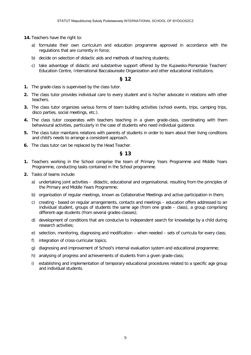- **14.** Teachers have the right to:
	- a) formulate their own curriculum and education programme approved in accordance with the regulations that are currently in force;
	- b) decide on selection of didactic aids and methods of teaching students;
	- c) take advantage of didactic and substantive support offered by the Kujawsko-Pomorskie Teachers' Education Centre, International Baccalaureate Organization and other educational institutions.

#### **§ 12**

- **1.** The grade-class is supervised by the class tutor.
- **2.** The class tutor provides individual care to every student and is his/her advocate in relations with other teachers.
- **3.** The class tutor organizes various forms of team building activities (school events, trips, camping trips, disco parties, social meetings, etc.).
- **4.** The class tutor cooperates with teachers teaching in a given grade-class, coordinating with them behavioural activities, particularly in the case of students who need individual guidance.
- **5.** The class tutor maintains relations with parents of students in order to learn about their living conditions and child's needs to arrange a consistent approach.
- **6.** The class tutor can be replaced by the Head Teacher.

- **1.** Teachers working in the School comprise the team of Primary Years Programme and Middle Years Programme, conducting tasks contained in the School programme.
- **2.** Tasks of teams include:
	- a) undertaking joint activities didactic, educational and organisational, resulting from the principles of the Primary and Middle Years Programme;
	- b) organisation of regular meetings, known as Collaborative Meetings and active participation in them;
	- c) creating based on regular arrangements, contacts and meetings education offers addressed to an individual student, groups of students the same age (from one grade – class), a group comprising different-age students (from several grades-classes);
	- d) development of conditions that are conducive to independent search for knowledge by a child during research activities;
	- e) selection, monitoring, diagnosing and modification when needed sets of curricula for every class;
	- f) integration of cross-curricular topics;
	- g) diagnosing and improvement of School's internal evaluation system and educational programme;
	- h) analysing of progress and achievements of students from a given grade-class;
	- i) establishing and implementation of temporary educational procedures related to a specific age group and individual students.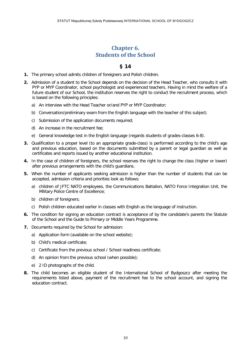# **Chapter 6. Students of the School**

- <span id="page-9-0"></span>**1.** The primary school admits children of foreigners and Polish children.
- **2.** Admission of a student to the School depends on the decision of the Head Teacher, who consults it with PYP or MYP Coordinator, school psychologist and experienced teachers. Having in mind the welfare of a future student of our School, the institution reserves the right to conduct the recruitment process, which is based on the following principles:
	- a) An interview with the Head Teacher or/and PYP or MYP Coordinator;
	- b) Conversation/preliminary exam from the English language with the teacher of this subject;
	- c) Submission of the application documents required;
	- d) An increase in the recruitment fee;
	- e) General knowledge test in the English language (regards students of grades-classes 6-8).
- **3.** Qualification to a proper level (to an appropriate grade-class) is performed according to the child's age and previous education, based on the documents submitted by a parent or legal guardian as well as certificates and reports issued by another educational institution.
- **4.** In the case of children of foreigners, the school reserves the right to change the class (higher or lower) after previous arrangements with the child's guardians.
- **5.** When the number of applicants seeking admission is higher than the number of students that can be accepted, admission criteria and priorities look as follows:
	- a) children of JFTC NATO employees, the Communications Battalion, NATO Force Integration Unit, the Military Police Centre of Excellence;
	- b) children of foreigners;
	- c) Polish children educated earlier in classes with English as the language of instruction.
- **6.** The condition for signing an education contract is acceptance of by the candidate's parents the Statute of the School and the Guide to Primary or Middle Years Programme.
- **7.** Documents required by the School for admission:
	- a) Application form (available on the school website);
	- b) Child's medical certificate;
	- c) Certificate from the previous school / School readiness certificate;
	- d) An opinion from the previous school (when possible);
	- e) 2 ID photographs of the child.
- **8.** The child becomes an eligible student of the International School of Bydgoszcz after meeting the requirements listed above, payment of the recruitment fee to the school account, and signing the education contract.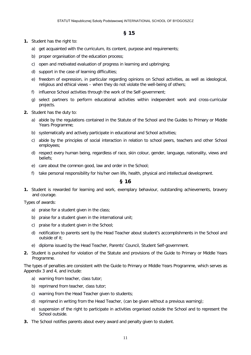## **§ 15**

#### **1.** Student has the right to:

- a) get acquainted with the curriculum, its content, purpose and requirements;
- b) proper organisation of the education process;
- c) open and motivated evaluation of progress in learning and upbringing;
- d) support in the case of learning difficulties;
- e) freedom of expression, in particular regarding opinions on School activities, as well as ideological, religious and ethical views – when they do not violate the well-being of others;
- f) influence School activities through the work of the Self-government;
- g) select partners to perform educational activities within independent work and cross-curricular projects.
- **2.** Student has the duty to:
	- a) abide by the regulations contained in the Statute of the School and the Guides to Primary or Middle Years Programme;
	- b) systematically and actively participate in educational and School activities;
	- c) abide by the principles of social interaction in relation to school peers, teachers and other School employees;
	- d) respect every human being, regardless of race, skin colour, gender, language, nationality, views and beliefs;
	- e) care about the common good, law and order in the School;
	- f) take personal responsibility for his/her own life, health, physical and intellectual development.

#### **§ 16**

**1.** Student is rewarded for learning and work, exemplary behaviour, outstanding achievements, bravery and courage.

Types of awards:

- a) praise for a student given in the class;
- b) praise for a student given in the international unit;
- c) praise for a student given in the School;
- d) notification to parents sent by the Head Teacher about student's accomplishments in the School and outside of it;
- e) diploma issued by the Head Teacher, Parents' Council, Student Self-government.
- **2.** Student is punished for violation of the Statute and provisions of the Guide to Primary or Middle Years Programme.

The types of penalties are consistent with the Guide to Primary or Middle Years Programme, which serves as Appendix 3 and 4, and include:

- a) warning from teacher, class tutor;
- b) reprimand from teacher, class tutor;
- c) warning from the Head Teacher given to students;
- d) reprimand in writing from the Head Teacher, (can be given without a previous warning);
- e) suspension of the right to participate in activities organised outside the School and to represent the School outside.
- **3.** The School notifies parents about every award and penalty given to student.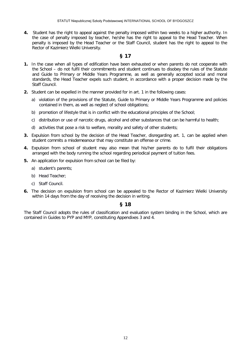**4.** Student has the right to appeal against the penalty imposed within two weeks to a higher authority. In the case of penalty imposed by teacher, he/she has the right to appeal to the Head Teacher. When penalty is imposed by the Head Teacher or the Staff Council, student has the right to appeal to the Rector of Kazimierz Wielki University.

#### **§ 17**

- **1.** In the case when all types of edification have been exhausted or when parents do not cooperate with the School – do not fulfil their commitments and student continues to disobey the rules of the Statute and Guide to Primary or Middle Years Programme, as well as generally accepted social and moral standards, the Head Teacher expels such student, in accordance with a proper decision made by the Staff Council.
- **2.** Student can be expelled in the manner provided for in art. 1 in the following cases:
	- a) violation of the provisions of the Statute, Guide to Primary or Middle Years Programme and policies contained in them, as well as neglect of school obligations;
	- b) promotion of lifestyle that is in conflict with the educational principles of the School;
	- c) distribution or use of narcotic drugs, alcohol and other substances that can be harmful to health;
	- d) activities that pose a risk to welfare, morality and safety of other students;
- **3.** Expulsion from school by the decision of the Head Teacher, disregarding art. 1, can be applied when student commits a misdemeanour that may constitute an offense or crime.
- **4.** Expulsion from school of student may also mean that his/her parents do to fulfil their obligations arranged with the body running the school regarding periodical payment of tuition fees.
- **5.** An application for expulsion from school can be filed by:
	- a) student's parents;
	- b) Head Teacher;
	- c) Staff Council.
- **6.** The decision on expulsion from school can be appealed to the Rector of Kazimierz Wielki University within 14 days from the day of receiving the decision in writing.

#### **§ 18**

The Staff Council adopts the rules of classification and evaluation system binding in the School, which are contained in Guides to PYP and MYP, constituting Appendixes 3 and 4.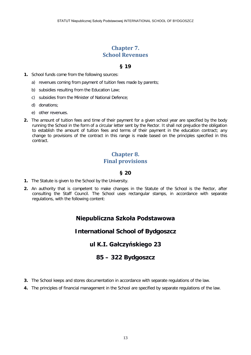# **Chapter 7. School Revenues**

## **§ 19**

- <span id="page-12-0"></span>**1.** School funds come from the following sources:
	- a) revenues coming from payment of tuition fees made by parents;
	- b) subsidies resulting from the Education Law;
	- c) subsidies from the Minister of National Defence;
	- d) donations;
	- e) other revenues.
- <span id="page-12-1"></span>**2.** The amount of tuition fees and time of their payment for a given school year are specified by the body running the School in the form of a circular letter sent by the Rector. It shall not prejudice the obligation to establish the amount of tuition fees and terms of their payment in the education contract; any change to provisions of the contract in this range is made based on the principles specified in this contract.

# **Chapter 8. Final provisions**

## **§ 20**

- **1.** The Statute is given to the School by the University.
- **2.** An authority that is competent to make changes in the Statute of the School is the Rector, after consulting the Staff Council. The School uses rectangular stamps, in accordance with separate regulations, with the following content:

# **Niepubliczna Szkoła Podstawowa**

## **International School of Bydgoszcz**

# **ul K.I. Gałczyńskiego 23**

## **85 – 322 Bydgoszcz**

- **3.** The School keeps and stores documentation in accordance with separate regulations of the law.
- **4.** The principles of financial management in the School are specified by separate regulations of the law.